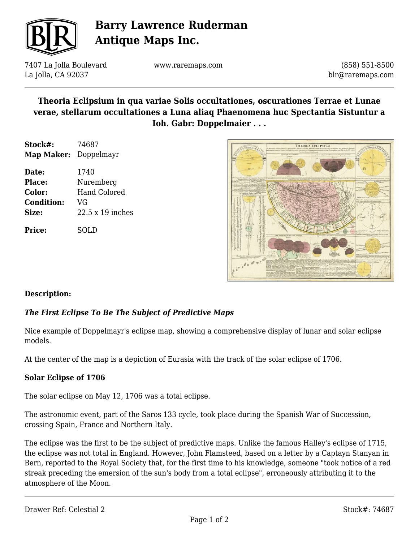

# **Barry Lawrence Ruderman Antique Maps Inc.**

7407 La Jolla Boulevard La Jolla, CA 92037

www.raremaps.com

(858) 551-8500 blr@raremaps.com

## **Theoria Eclipsium in qua variae Solis occultationes, oscurationes Terrae et Lunae verae, stellarum occultationes a Luna aliaq Phaenomena huc Spectantia Sistuntur a Ioh. Gabr: Doppelmaier . . .**

| Stock#:               | 74687               |
|-----------------------|---------------------|
| Map Maker: Doppelmayr |                     |
| Date:                 | 1740                |
| <b>Place:</b>         | Nuremberg           |
| <b>Color:</b>         | <b>Hand Colored</b> |
| <b>Condition:</b>     | VG                  |
| Size:                 | 22.5 x 19 inches    |
|                       |                     |

**Price:** SOLD



### **Description:**

## *The First Eclipse To Be The Subject of Predictive Maps*

Nice example of Doppelmayr's eclipse map, showing a comprehensive display of lunar and solar eclipse models.

At the center of the map is a depiction of Eurasia with the track of the solar eclipse of 1706.

#### **Solar Eclipse of 1706**

The solar eclipse on May 12, 1706 was a total eclipse.

The astronomic event, part of the Saros 133 cycle, took place during the Spanish War of Succession, crossing Spain, France and Northern Italy.

The eclipse was the first to be the subject of predictive maps. Unlike the famous Halley's eclipse of 1715, the eclipse was not total in England. However, John Flamsteed, based on a letter by a Captayn Stanyan in Bern, reported to the Royal Society that, for the first time to his knowledge, someone "took notice of a red streak preceding the emersion of the sun's body from a total eclipse", erroneously attributing it to the atmosphere of the Moon.